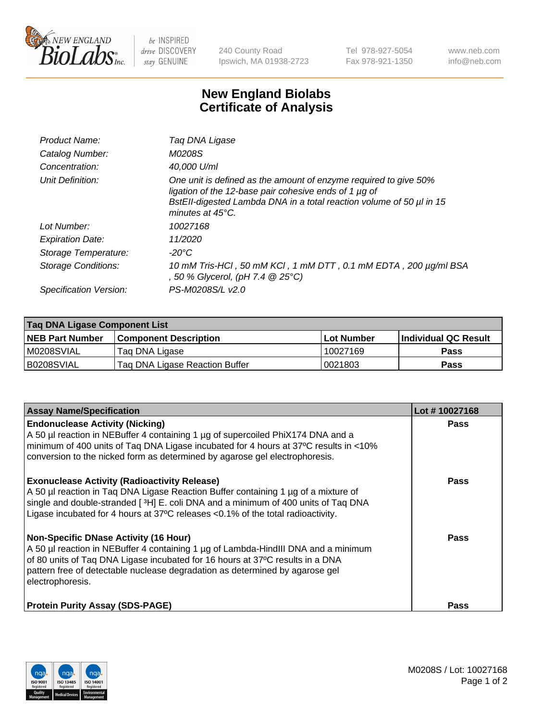

 $be$  INSPIRED drive DISCOVERY stay GENUINE

240 County Road Ipswich, MA 01938-2723 Tel 978-927-5054 Fax 978-921-1350 www.neb.com info@neb.com

## **New England Biolabs Certificate of Analysis**

| Product Name:              | Tag DNA Ligase                                                                                                                                                                                                                  |
|----------------------------|---------------------------------------------------------------------------------------------------------------------------------------------------------------------------------------------------------------------------------|
| Catalog Number:            | M0208S                                                                                                                                                                                                                          |
| Concentration:             | 40,000 U/ml                                                                                                                                                                                                                     |
| Unit Definition:           | One unit is defined as the amount of enzyme required to give 50%<br>ligation of the 12-base pair cohesive ends of 1 µg of<br>BstEll-digested Lambda DNA in a total reaction volume of 50 µl in 15<br>minutes at $45^{\circ}$ C. |
| Lot Number:                | 10027168                                                                                                                                                                                                                        |
| <b>Expiration Date:</b>    | 11/2020                                                                                                                                                                                                                         |
| Storage Temperature:       | -20°C                                                                                                                                                                                                                           |
| <b>Storage Conditions:</b> | 10 mM Tris-HCl, 50 mM KCl, 1 mM DTT, 0.1 mM EDTA, 200 µg/ml BSA<br>, 50 % Glycerol, (pH 7.4 @ 25°C)                                                                                                                             |
| Specification Version:     | PS-M0208S/L v2.0                                                                                                                                                                                                                |

| Taq DNA Ligase Component List |                                |            |                      |  |
|-------------------------------|--------------------------------|------------|----------------------|--|
| <b>NEB Part Number</b>        | <b>Component Description</b>   | Lot Number | Individual QC Result |  |
| M0208SVIAL                    | Tag DNA Ligase                 | 10027169   | <b>Pass</b>          |  |
| B0208SVIAL                    | Taq DNA Ligase Reaction Buffer | 0021803    | Pass                 |  |

| <b>Assay Name/Specification</b>                                                                                                                                                                                                                                                                                         | Lot #10027168 |
|-------------------------------------------------------------------------------------------------------------------------------------------------------------------------------------------------------------------------------------------------------------------------------------------------------------------------|---------------|
| <b>Endonuclease Activity (Nicking)</b><br>A 50 µl reaction in NEBuffer 4 containing 1 µg of supercoiled PhiX174 DNA and a<br>minimum of 400 units of Taq DNA Ligase incubated for 4 hours at 37°C results in <10%<br>conversion to the nicked form as determined by agarose gel electrophoresis.                        | <b>Pass</b>   |
| <b>Exonuclease Activity (Radioactivity Release)</b><br>A 50 µl reaction in Taq DNA Ligase Reaction Buffer containing 1 µg of a mixture of<br>single and double-stranded [3H] E. coli DNA and a minimum of 400 units of Taq DNA<br>Ligase incubated for 4 hours at 37°C releases <0.1% of the total radioactivity.       | <b>Pass</b>   |
| <b>Non-Specific DNase Activity (16 Hour)</b><br>A 50 µl reaction in NEBuffer 4 containing 1 µg of Lambda-HindIII DNA and a minimum<br>of 80 units of Taq DNA Ligase incubated for 16 hours at 37°C results in a DNA<br>pattern free of detectable nuclease degradation as determined by agarose gel<br>electrophoresis. | <b>Pass</b>   |
| <b>Protein Purity Assay (SDS-PAGE)</b>                                                                                                                                                                                                                                                                                  | <b>Pass</b>   |